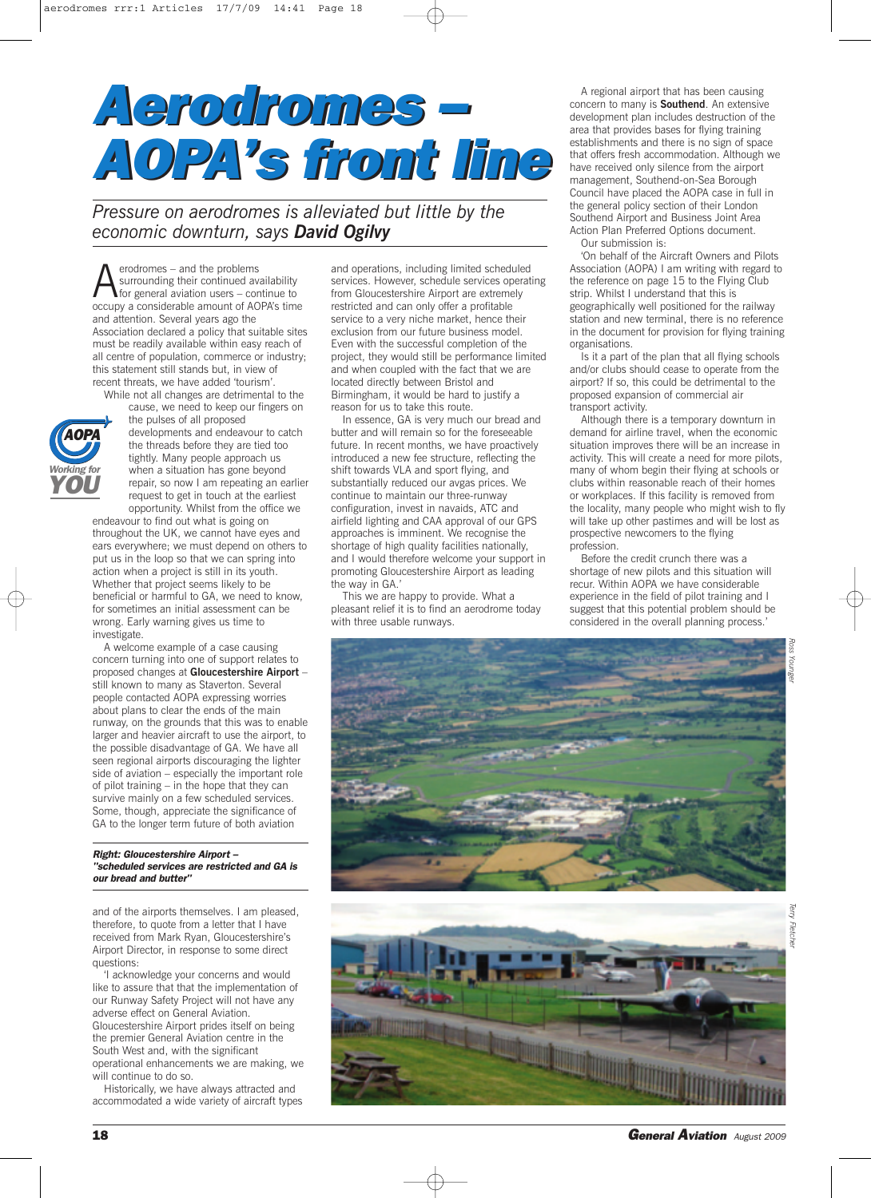# *Aerodromes – Aerodromes – AOPA's front line AOPA's front line*

*Pressure on aerodromes is alleviated but little by the economic downturn, says David Ogilvy*

 $\sum$  erodromes – and the problems<br>surrounding their continued average for general aviation users – concerns a considerable amount of  $\Delta G$ surrounding their continued availability for general aviation users – continue to occupy a considerable amount of AOPA's time and attention. Several years ago the Association declared a policy that suitable sites must be readily available within easy reach of all centre of population, commerce or industry; this statement still stands but, in view of recent threats, we have added 'tourism'.

While not all changes are detrimental to the



cause, we need to keep our fingers on the pulses of all proposed developments and endeavour to catch the threads before they are tied too tightly. Many people approach us when a situation has gone beyond repair, so now I am repeating an earlier request to get in touch at the earliest opportunity. Whilst from the office we

endeavour to find out what is going on throughout the UK, we cannot have eyes and ears everywhere; we must depend on others to put us in the loop so that we can spring into action when a project is still in its youth. Whether that project seems likely to be beneficial or harmful to GA, we need to know, for sometimes an initial assessment can be wrong. Early warning gives us time to investigate.

A welcome example of a case causing concern turning into one of support relates to proposed changes at **Gloucestershire Airport** – still known to many as Staverton. Several people contacted AOPA expressing worries about plans to clear the ends of the main runway, on the grounds that this was to enable larger and heavier aircraft to use the airport, to the possible disadvantage of GA. We have all seen regional airports discouraging the lighter side of aviation – especially the important role of pilot training – in the hope that they can survive mainly on a few scheduled services. Some, though, appreciate the significance of GA to the longer term future of both aviation

# *Right: Gloucestershire Airport – "scheduled services are restricted and GA is our bread and butter"*

and of the airports themselves. I am pleased, therefore, to quote from a letter that I have received from Mark Ryan, Gloucestershire's Airport Director, in response to some direct questions:

'I acknowledge your concerns and would like to assure that that the implementation of our Runway Safety Project will not have any adverse effect on General Aviation. Gloucestershire Airport prides itself on being the premier General Aviation centre in the South West and, with the significant operational enhancements we are making, we will continue to do so.

Historically, we have always attracted and accommodated a wide variety of aircraft types and operations, including limited scheduled services. However, schedule services operating from Gloucestershire Airport are extremely restricted and can only offer a profitable service to a very niche market, hence their exclusion from our future business model. Even with the successful completion of the project, they would still be performance limited and when coupled with the fact that we are located directly between Bristol and Birmingham, it would be hard to justify a reason for us to take this route.

In essence, GA is very much our bread and butter and will remain so for the foreseeable future. In recent months, we have proactively introduced a new fee structure, reflecting the shift towards VLA and sport flying, and substantially reduced our avgas prices. We continue to maintain our three-runway configuration, invest in navaids, ATC and airfield lighting and CAA approval of our GPS approaches is imminent. We recognise the shortage of high quality facilities nationally, and I would therefore welcome your support in promoting Gloucestershire Airport as leading the way in GA.

This we are happy to provide. What a pleasant relief it is to find an aerodrome today with three usable runways.

A regional airport that has been causing concern to many is **Southend**. An extensive development plan includes destruction of the area that provides bases for flying training establishments and there is no sign of space that offers fresh accommodation. Although we have received only silence from the airport management, Southend-on-Sea Borough Council have placed the AOPA case in full in the general policy section of their London Southend Airport and Business Joint Area Action Plan Preferred Options document. Our submission is:

'On behalf of the Aircraft Owners and Pilots Association (AOPA) I am writing with regard to the reference on page 15 to the Flying Club strip. Whilst I understand that this is geographically well positioned for the railway station and new terminal, there is no reference in the document for provision for flying training organisations.

Is it a part of the plan that all flying schools and/or clubs should cease to operate from the airport? If so, this could be detrimental to the proposed expansion of commercial air transport activity.

Although there is a temporary downturn in demand for airline travel, when the economic situation improves there will be an increase in activity. This will create a need for more pilots, many of whom begin their flying at schools or clubs within reasonable reach of their homes or workplaces. If this facility is removed from the locality, many people who might wish to fly will take up other pastimes and will be lost as prospective newcomers to the flying profession.

Before the credit crunch there was a shortage of new pilots and this situation will recur. Within AOPA we have considerable experience in the field of pilot training and I suggest that this potential problem should be considered in the overall planning process.





**18** *General Aviation August <sup>2009</sup>*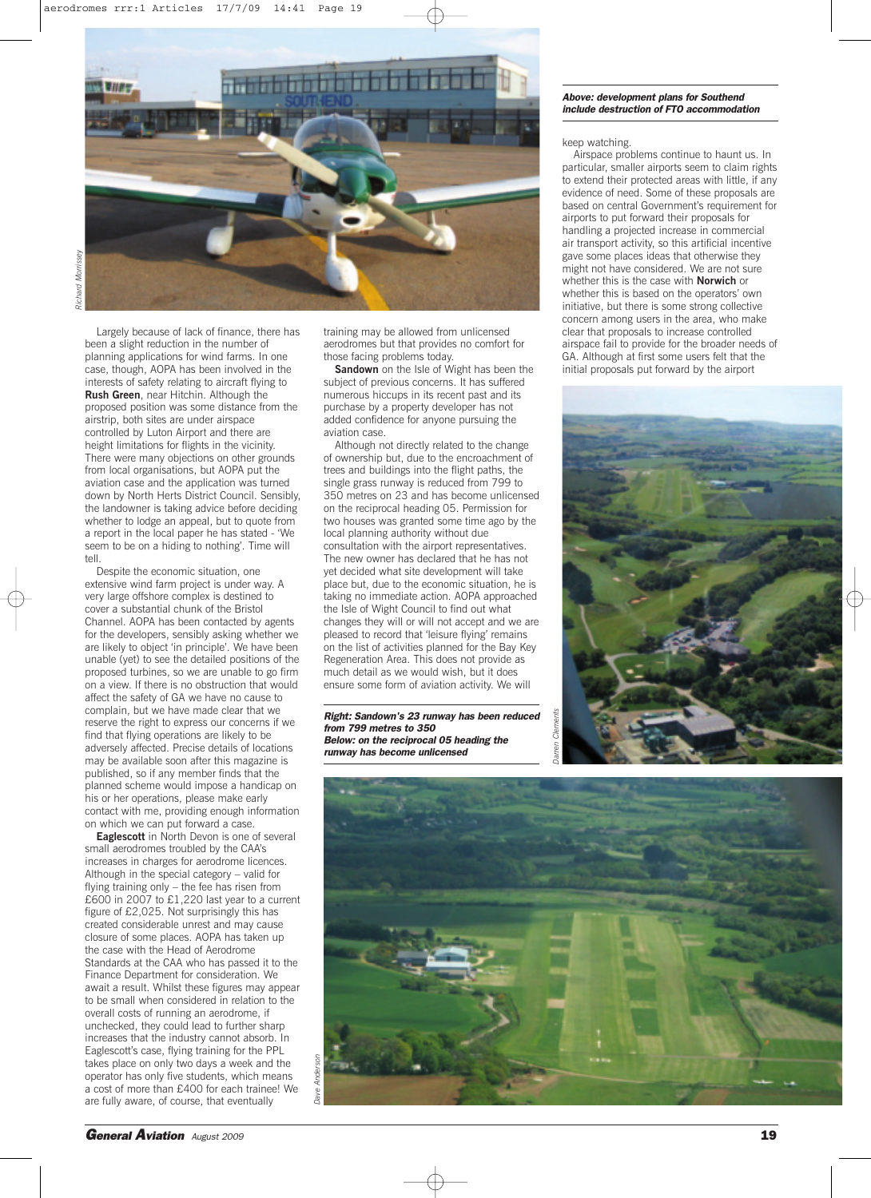

Largely because of lack of finance, there has been a slight reduction in the number of planning applications for wind farms. In one case, though, AOPA has been involved in the interests of safety relating to aircraft flying to **Rush Green**, near Hitchin. Although the proposed position was some distance from the airstrip, both sites are under airspace controlled by Luton Airport and there are height limitations for flights in the vicinity. There were many objections on other grounds from local organisations, but AOPA put the aviation case and the application was turned down by North Herts District Council. Sensibly, the landowner is taking advice before deciding whether to lodge an appeal, but to quote from a report in the local paper he has stated - 'We seem to be on a hiding to nothing'. Time will tell.

Despite the economic situation, one extensive wind farm project is under way. A very large offshore complex is destined to cover a substantial chunk of the Bristol Channel. AOPA has been contacted by agents for the developers, sensibly asking whether we are likely to object 'in principle'. We have been unable (yet) to see the detailed positions of the proposed turbines, so we are unable to go firm on a view. If there is no obstruction that would affect the safety of GA we have no cause to complain, but we have made clear that we reserve the right to express our concerns if we find that flying operations are likely to be adversely affected. Precise details of locations may be available soon after this magazine is published, so if any member finds that the planned scheme would impose a handicap on his or her operations, please make early contact with me, providing enough information on which we can put forward a case.

**Eaglescott** in North Devon is one of several small aerodromes troubled by the CAA's increases in charges for aerodrome licences. Although in the special category – valid for flying training only – the fee has risen from £600 in 2007 to £1,220 last year to a current figure of £2,025. Not surprisingly this has created considerable unrest and may cause closure of some places. AOPA has taken up the case with the Head of Aerodrome Standards at the CAA who has passed it to the Finance Department for consideration. We await a result. Whilst these figures may appear to be small when considered in relation to the overall costs of running an aerodrome, if unchecked, they could lead to further sharp increases that the industry cannot absorb. In Eaglescott's case, flying training for the PPL takes place on only two days a week and the operator has only five students, which means a cost of more than £400 for each trainee! We are fully aware, of course, that eventually

training may be allowed from unlicensed aerodromes but that provides no comfort for those facing problems today.

**Sandown** on the Isle of Wight has been the subject of previous concerns. It has suffered numerous hiccups in its recent past and its purchase by a property developer has not added confidence for anyone pursuing the aviation case.

Although not directly related to the change of ownership but, due to the encroachment of trees and buildings into the flight paths, the single grass runway is reduced from 799 to 350 metres on 23 and has become unlicensed on the reciprocal heading 05. Permission for two houses was granted some time ago by the local planning authority without due consultation with the airport representatives. The new owner has declared that he has not yet decided what site development will take place but, due to the economic situation, he is taking no immediate action. AOPA approached the Isle of Wight Council to find out what changes they will or will not accept and we are pleased to record that 'leisure flying' remains on the list of activities planned for the Bay Key Regeneration Area. This does not provide as much detail as we would wish, but it does ensure some form of aviation activity. We will

*Right: Sandown's 23 runway has been reduced from 799 metres to 350 Below: on the reciprocal 05 heading the runway has become unlicensed*

## *Above: development plans for Southend include destruction of FTO accommodation*

### keep watching.

Airspace problems continue to haunt us. In particular, smaller airports seem to claim rights to extend their protected areas with little, if any evidence of need. Some of these proposals are based on central Government's requirement for airports to put forward their proposals for handling a projected increase in commercial air transport activity, so this artificial incentive gave some places ideas that otherwise they might not have considered. We are not sure whether this is the case with **Norwich** or whether this is based on the operators' own initiative, but there is some strong collective concern among users in the area, who make clear that proposals to increase controlled airspace fail to provide for the broader needs of GA. Although at first some users felt that the initial proposals put forward by the airport